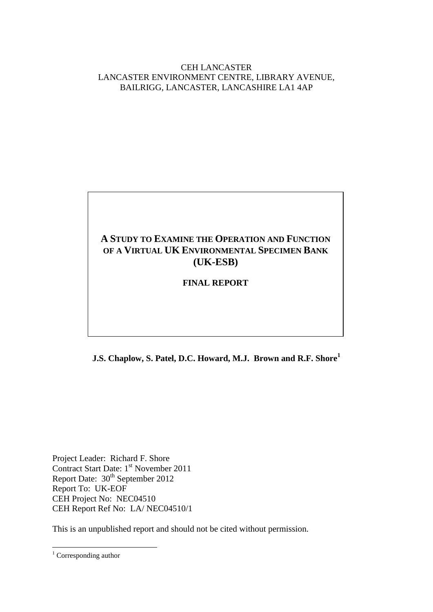CEH LANCASTER LANCASTER ENVIRONMENT CENTRE, LIBRARY AVENUE, BAILRIGG, LANCASTER, LANCASHIRE LA1 4AP

# **A STUDY TO EXAMINE THE OPERATION AND FUNCTION OF A VIRTUAL UK ENVIRONMENTAL SPECIMEN BANK (UK-ESB)**

### **FINAL REPORT**

**J.S. Chaplow, S. Patel, D.C. Howard, M.J. Brown and R.F. Shore<sup>1</sup>**

Project Leader: Richard F. Shore Contract Start Date: 1<sup>st</sup> November 2011 Report Date: 30<sup>th</sup> September 2012 Report To: UK-EOF CEH Project No: NEC04510 CEH Report Ref No: LA/ NEC04510/1

This is an unpublished report and should not be cited without permission.

1

 $1$  Corresponding author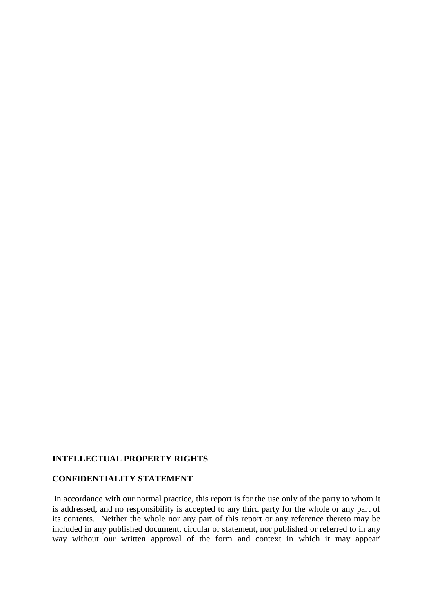#### **INTELLECTUAL PROPERTY RIGHTS**

#### **CONFIDENTIALITY STATEMENT**

'In accordance with our normal practice, this report is for the use only of the party to whom it is addressed, and no responsibility is accepted to any third party for the whole or any part of its contents. Neither the whole nor any part of this report or any reference thereto may be included in any published document, circular or statement, nor published or referred to in any way without our written approval of the form and context in which it may appear'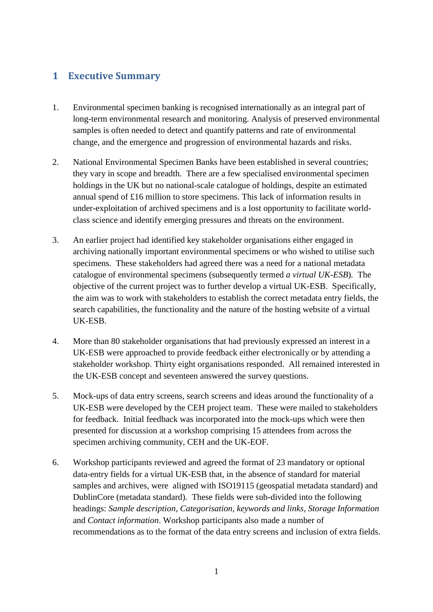# <span id="page-2-0"></span>**1 Executive Summary**

- 1. Environmental specimen banking is recognised internationally as an integral part of long-term environmental research and monitoring. Analysis of preserved environmental samples is often needed to detect and quantify patterns and rate of environmental change, and the emergence and progression of environmental hazards and risks.
- 2. National Environmental Specimen Banks have been established in several countries; they vary in scope and breadth. There are a few specialised environmental specimen holdings in the UK but no national-scale catalogue of holdings, despite an estimated annual spend of £16 million to store specimens. This lack of information results in under-exploitation of archived specimens and is a lost opportunity to facilitate worldclass science and identify emerging pressures and threats on the environment.
- 3. An earlier project had identified key stakeholder organisations either engaged in archiving nationally important environmental specimens or who wished to utilise such specimens. These stakeholders had agreed there was a need for a national metadata catalogue of environmental specimens (subsequently termed *a virtual UK-ESB*)*.* The objective of the current project was to further develop a virtual UK-ESB. Specifically, the aim was to work with stakeholders to establish the correct metadata entry fields, the search capabilities, the functionality and the nature of the hosting website of a virtual UK-ESB.
- 4. More than 80 stakeholder organisations that had previously expressed an interest in a UK-ESB were approached to provide feedback either electronically or by attending a stakeholder workshop. Thirty eight organisations responded. All remained interested in the UK-ESB concept and seventeen answered the survey questions.
- 5. Mock-ups of data entry screens, search screens and ideas around the functionality of a UK-ESB were developed by the CEH project team. These were mailed to stakeholders for feedback. Initial feedback was incorporated into the mock-ups which were then presented for discussion at a workshop comprising 15 attendees from across the specimen archiving community, CEH and the UK-EOF.
- 6. Workshop participants reviewed and agreed the format of 23 mandatory or optional data-entry fields for a virtual UK-ESB that, in the absence of standard for material samples and archives, were aligned with ISO19115 (geospatial metadata standard) and DublinCore (metadata standard). These fields were sub-divided into the following headings: *Sample description, Categorisation, keywords and links*, *Storage Information* and *Contact information*. Workshop participants also made a number of recommendations as to the format of the data entry screens and inclusion of extra fields.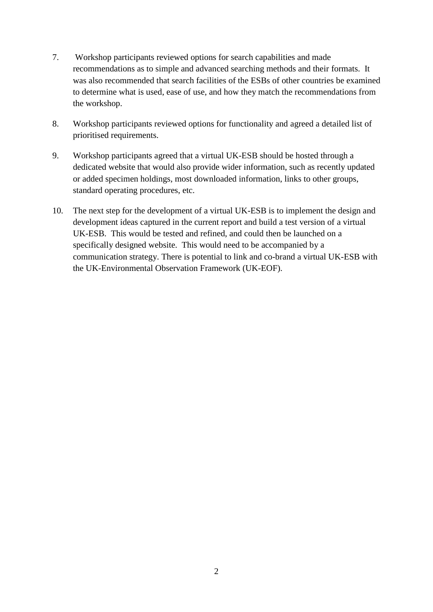- 7. Workshop participants reviewed options for search capabilities and made recommendations as to simple and advanced searching methods and their formats. It was also recommended that search facilities of the ESBs of other countries be examined to determine what is used, ease of use, and how they match the recommendations from the workshop.
- 8. Workshop participants reviewed options for functionality and agreed a detailed list of prioritised requirements.
- 9. Workshop participants agreed that a virtual UK-ESB should be hosted through a dedicated website that would also provide wider information, such as recently updated or added specimen holdings, most downloaded information, links to other groups, standard operating procedures, etc.
- 10. The next step for the development of a virtual UK-ESB is to implement the design and development ideas captured in the current report and build a test version of a virtual UK-ESB. This would be tested and refined, and could then be launched on a specifically designed website. This would need to be accompanied by a communication strategy. There is potential to link and co-brand a virtual UK-ESB with the UK-Environmental Observation Framework (UK-EOF).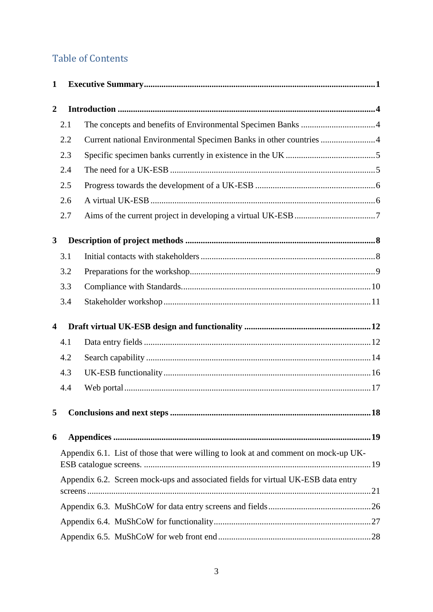# **Table of Contents**

| $\mathbf{1}$            |     |                                                                                     |
|-------------------------|-----|-------------------------------------------------------------------------------------|
| $\overline{2}$          |     |                                                                                     |
|                         | 2.1 |                                                                                     |
|                         | 2.2 | Current national Environmental Specimen Banks in other countries 4                  |
|                         | 2.3 |                                                                                     |
|                         | 2.4 |                                                                                     |
|                         | 2.5 |                                                                                     |
|                         | 2.6 |                                                                                     |
|                         | 2.7 |                                                                                     |
| $\mathbf{3}$            |     |                                                                                     |
|                         | 3.1 |                                                                                     |
|                         | 3.2 |                                                                                     |
|                         | 3.3 |                                                                                     |
|                         | 3.4 |                                                                                     |
| $\overline{\mathbf{4}}$ |     |                                                                                     |
|                         | 4.1 |                                                                                     |
|                         | 4.2 |                                                                                     |
|                         | 4.3 |                                                                                     |
|                         | 4.4 |                                                                                     |
| 5                       |     |                                                                                     |
| 6                       |     |                                                                                     |
|                         |     | Appendix 6.1. List of those that were willing to look at and comment on mock-up UK- |
|                         |     | Appendix 6.2. Screen mock-ups and associated fields for virtual UK-ESB data entry   |
|                         |     |                                                                                     |
|                         |     |                                                                                     |
|                         |     |                                                                                     |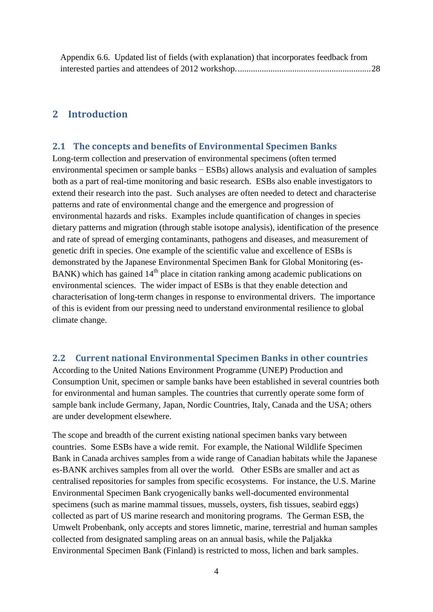## <span id="page-5-0"></span>**2 Introduction**

#### <span id="page-5-1"></span>**2.1 The concepts and benefits of Environmental Specimen Banks**

Long-term collection and preservation of environmental specimens (often termed environmental specimen or sample banks − ESBs) allows analysis and evaluation of samples both as a part of real-time monitoring and basic research. ESBs also enable investigators to extend their research into the past. Such analyses are often needed to detect and characterise patterns and rate of environmental change and the emergence and progression of environmental hazards and risks. Examples include quantification of changes in species dietary patterns and migration (through stable isotope analysis), identification of the presence and rate of spread of emerging contaminants, pathogens and diseases, and measurement of genetic drift in species. One example of the scientific value and excellence of ESBs is demonstrated by the Japanese Environmental Specimen Bank for Global Monitoring [\(es-](http://www.ehime-u.ac.jp/~cmes/e/esbank/esbank.htm)[BANK\)](http://www.ehime-u.ac.jp/~cmes/e/esbank/esbank.htm) which has gained  $14<sup>th</sup>$  place in citation ranking among academic publications on environmental sciences. The wider impact of ESBs is that they enable detection and characterisation of long-term changes in response to environmental drivers. The importance of this is evident from our pressing need to understand environmental resilience to global climate change.

#### <span id="page-5-2"></span>**2.2 Current national Environmental Specimen Banks in other countries**

According to the United Nations Environment Programme (UNEP) Production and Consumption Unit, specimen or sample banks have been established in several countries both for environmental and human samples. The countries that currently operate some form of sample bank include Germany, Japan, Nordic Countries, Italy, Canada and the USA; others are under development elsewhere.

The scope and breadth of the current existing national specimen banks vary between countries. Some ESBs have a wide remit. For example, the National Wildlife Specimen Bank in Canada archives samples from a wide range of Canadian habitats while the [Japanese](http://www.ehime-u.ac.jp/~cmes/e/esbank/esbank.htm)  [es-BANK](http://www.ehime-u.ac.jp/~cmes/e/esbank/esbank.htm) archives samples from all over the world. Other ESBs are smaller and act as centralised repositories for samples from specific ecosystems. For instance, the U.S. Marine Environmental Specimen Bank cryogenically banks well-documented environmental specimens (such as marine mammal tissues, mussels, oysters, fish tissues, seabird eggs) collected as part of US marine research and monitoring programs. The German ESB, the Umwelt Probenbank, only accepts and stores limnetic, marine, terrestrial and human samples collected from designated sampling areas on an annual basis, while the Paljakka Environmental Specimen Bank (Finland) is restricted to moss, lichen and bark samples.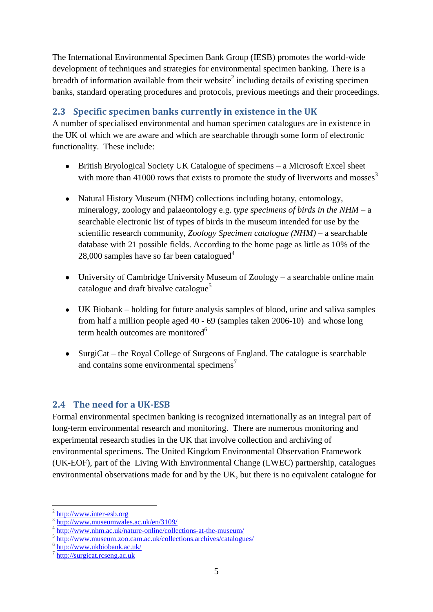The International Environmental Specimen Bank Group (IESB) promotes the world-wide development of techniques and strategies for environmental specimen banking. There is a breadth of information available from their website<sup>2</sup> including details of existing specimen banks, standard operating procedures and protocols, previous meetings and their proceedings.

# <span id="page-6-0"></span>**2.3 Specific specimen banks currently in existence in the UK**

A number of specialised environmental and human specimen catalogues are in existence in the UK of which we are aware and which are searchable through some form of electronic functionality. These include:

- British Bryological Society UK Catalogue of specimens a Microsoft Excel sheet with more than 41000 rows that exists to promote the study of liverworts and mosses<sup>3</sup>
- Natural History Museum (NHM) collections including botany, entomology, mineralogy, zoology and palaeontology e.g. t*ype specimens of birds in the NHM* – a searchable electronic list of types of birds in the museum intended for use by the scientific research community, *Zoology Specimen catalogue (NHM)* – a searchable database with 21 possible fields. According to the home page as little as 10% of the 28,000 samples have so far been catalogued<sup>4</sup>
- University of Cambridge University Museum of Zoology a searchable online main catalogue and draft bivalve catalogue<sup>5</sup>
- UK Biobank holding for future analysis samples of blood, urine and saliva samples from half a million people aged 40 - 69 (samples taken 2006-10) and whose long term health outcomes are monitored $6$
- SurgiCat the Royal College of Surgeons of England. The catalogue is searchable and contains some environmental specimens<sup>7</sup>

## <span id="page-6-1"></span>**2.4 The need for a UK-ESB**

Formal environmental specimen banking is recognized internationally as an integral part of long-term environmental research and monitoring. There are numerous monitoring and experimental research studies in the UK that involve collection and archiving of environmental specimens. The United Kingdom Environmental Observation Framework (UK-EOF), part of the Living With Environmental Change (LWEC) partnership, catalogues environmental observations made for and by the UK, but there is no equivalent catalogue for

1

<sup>2</sup> [http://www.inter-esb.org](http://www.inter-esb.org/)

<sup>3</sup> <http://www.museumwales.ac.uk/en/3109/>

<sup>&</sup>lt;sup>4</sup> <http://www.nhm.ac.uk/nature-online/collections-at-the-museum/>

<sup>&</sup>lt;sup>5</sup> <http://www.museum.zoo.cam.ac.uk/collections.archives/catalogues/>

<sup>6</sup> <http://www.ukbiobank.ac.uk/>

<sup>&</sup>lt;sup>7</sup> [http://surgicat.rcseng.ac.uk](http://surgicat.rcseng.ac.uk/)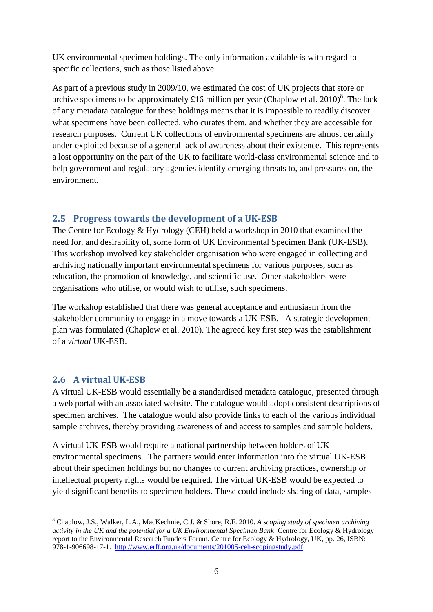UK environmental specimen holdings. The only information available is with regard to specific collections, such as those listed above.

As part of a previous study in 2009/10, we estimated the cost of UK projects that store or archive specimens to be approximately £16 million per year (Chaplow et al. 2010)<sup>8</sup>. The lack of any metadata catalogue for these holdings means that it is impossible to readily discover what specimens have been collected, who curates them, and whether they are accessible for research purposes. Current UK collections of environmental specimens are almost certainly under-exploited because of a general lack of awareness about their existence. This represents a lost opportunity on the part of the UK to facilitate world-class environmental science and to help government and regulatory agencies identify emerging threats to, and pressures on, the environment.

#### <span id="page-7-0"></span>**2.5 Progress towards the development of a UK-ESB**

The Centre for Ecology & Hydrology (CEH) held a workshop in 2010 that examined the need for, and desirability of, some form of UK Environmental Specimen Bank (UK-ESB). This workshop involved key stakeholder organisation who were engaged in collecting and archiving nationally important environmental specimens for various purposes, such as education, the promotion of knowledge, and scientific use. Other stakeholders were organisations who utilise, or would wish to utilise, such specimens.

The workshop established that there was general acceptance and enthusiasm from the stakeholder community to engage in a move towards a UK-ESB. A strategic development plan was formulated (Chaplow et al. 2010). The agreed key first step was the establishment of a *virtual* UK-ESB.

#### <span id="page-7-1"></span>**2.6 A virtual UK-ESB**

<u>.</u>

A virtual UK-ESB would essentially be a standardised metadata catalogue, presented through a web portal with an associated website. The catalogue would adopt consistent descriptions of specimen archives. The catalogue would also provide links to each of the various individual sample archives, thereby providing awareness of and access to samples and sample holders.

A virtual UK-ESB would require a national partnership between holders of UK environmental specimens. The partners would enter information into the virtual UK-ESB about their specimen holdings but no changes to current archiving practices, ownership or intellectual property rights would be required. The virtual UK-ESB would be expected to yield significant benefits to specimen holders. These could include sharing of data, samples

<sup>8</sup> Chaplow, J.S., Walker, L.A., MacKechnie, C.J. & Shore, R.F. 2010. *A scoping study of specimen archiving activity in the UK and the potential for a UK Environmental Specimen Bank*. Centre for Ecology & Hydrology report to the Environmental Research Funders Forum. Centre for Ecology & Hydrology, UK, pp. 26, ISBN: 978-1-906698-17-1. <http://www.erff.org.uk/documents/201005-ceh-scopingstudy.pdf>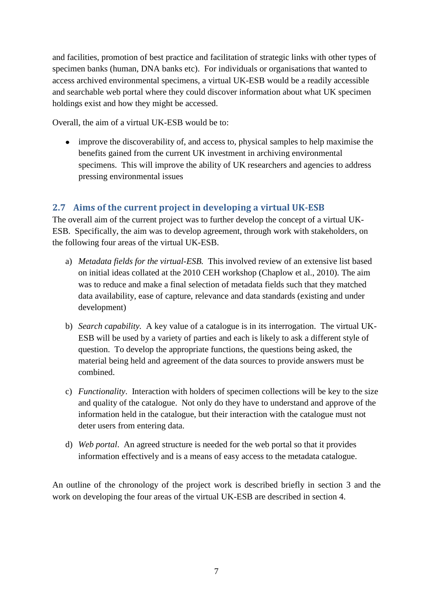and facilities, promotion of best practice and facilitation of strategic links with other types of specimen banks (human, DNA banks etc). For individuals or organisations that wanted to access archived environmental specimens, a virtual UK-ESB would be a readily accessible and searchable web portal where they could discover information about what UK specimen holdings exist and how they might be accessed.

Overall, the aim of a virtual UK-ESB would be to:

improve the discoverability of, and access to, physical samples to help maximise the benefits gained from the current UK investment in archiving environmental specimens. This will improve the ability of UK researchers and agencies to address pressing environmental issues

## <span id="page-8-0"></span>**2.7 Aims of the current project in developing a virtual UK-ESB**

The overall aim of the current project was to further develop the concept of a virtual UK-ESB. Specifically, the aim was to develop agreement, through work with stakeholders, on the following four areas of the virtual UK-ESB.

- a) *Metadata fields for the virtual-ESB.* This involved review of an extensive list based on initial ideas collated at the 2010 CEH workshop (Chaplow et al., 2010). The aim was to reduce and make a final selection of metadata fields such that they matched data availability, ease of capture, relevance and data standards (existing and under development)
- b) *Search capability.* A key value of a catalogue is in its interrogation. The virtual UK-ESB will be used by a variety of parties and each is likely to ask a different style of question. To develop the appropriate functions, the questions being asked, the material being held and agreement of the data sources to provide answers must be combined.
- c) *Functionality*. Interaction with holders of specimen collections will be key to the size and quality of the catalogue. Not only do they have to understand and approve of the information held in the catalogue, but their interaction with the catalogue must not deter users from entering data.
- d) *Web portal*. An agreed structure is needed for the web portal so that it provides information effectively and is a means of easy access to the metadata catalogue.

An outline of the chronology of the project work is described briefly in section 3 and the work on developing the four areas of the virtual UK-ESB are described in section 4.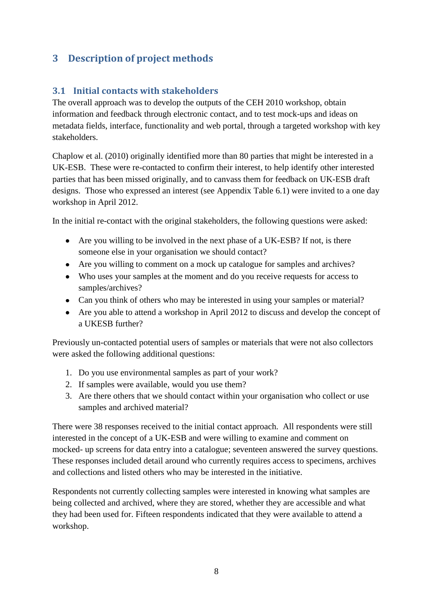# <span id="page-9-0"></span>**3 Description of project methods**

## <span id="page-9-1"></span>**3.1 Initial contacts with stakeholders**

The overall approach was to develop the outputs of the CEH 2010 workshop, obtain information and feedback through electronic contact, and to test mock-ups and ideas on metadata fields, interface, functionality and web portal, through a targeted workshop with key stakeholders.

Chaplow et al. (2010) originally identified more than 80 parties that might be interested in a UK-ESB. These were re-contacted to confirm their interest, to help identify other interested parties that has been missed originally, and to canvass them for feedback on UK-ESB draft designs. Those who expressed an interest (see Appendix Table 6.1) were invited to a one day workshop in April 2012.

In the initial re-contact with the original stakeholders, the following questions were asked:

- Are you willing to be involved in the next phase of a UK-ESB? If not, is there someone else in your organisation we should contact?
- Are you willing to comment on a mock up catalogue for samples and archives?
- Who uses your samples at the moment and do you receive requests for access to samples/archives?
- Can you think of others who may be interested in using your samples or material?
- Are you able to attend a workshop in April 2012 to discuss and develop the concept of a UKESB further?

Previously un-contacted potential users of samples or materials that were not also collectors were asked the following additional questions:

- 1. Do you use environmental samples as part of your work?
- 2. If samples were available, would you use them?
- 3. Are there others that we should contact within your organisation who collect or use samples and archived material?

There were 38 responses received to the initial contact approach. All respondents were still interested in the concept of a UK-ESB and were willing to examine and comment on mocked- up screens for data entry into a catalogue; seventeen answered the survey questions. These responses included detail around who currently requires access to specimens, archives and collections and listed others who may be interested in the initiative.

Respondents not currently collecting samples were interested in knowing what samples are being collected and archived, where they are stored, whether they are accessible and what they had been used for. Fifteen respondents indicated that they were available to attend a workshop.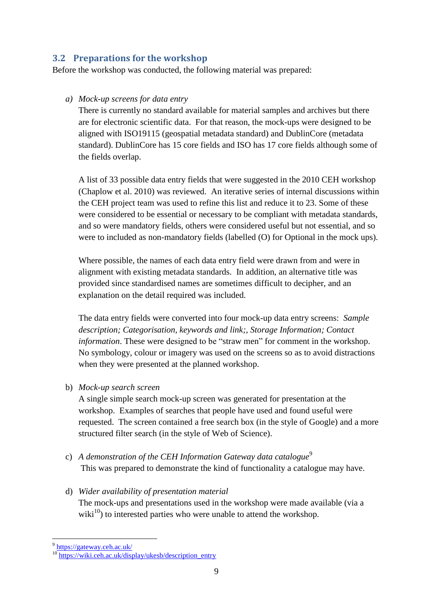### <span id="page-10-0"></span>**3.2 Preparations for the workshop**

Before the workshop was conducted, the following material was prepared:

#### *a) Mock-up screens for data entry*

There is currently no standard available for material samples and archives but there are for electronic scientific data. For that reason, the mock-ups were designed to be aligned with ISO19115 (geospatial metadata standard) and DublinCore (metadata standard). DublinCore has 15 core fields and ISO has 17 core fields although some of the fields overlap.

A list of 33 possible data entry fields that were suggested in the 2010 CEH workshop (Chaplow et al. 2010) was reviewed. An iterative series of internal discussions within the CEH project team was used to refine this list and reduce it to 23. Some of these were considered to be essential or necessary to be compliant with metadata standards, and so were mandatory fields, others were considered useful but not essential, and so were to included as non-mandatory fields (labelled (O) for Optional in the mock ups).

Where possible, the names of each data entry field were drawn from and were in alignment with existing metadata standards. In addition, an alternative title was provided since standardised names are sometimes difficult to decipher, and an explanation on the detail required was included.

The data entry fields were converted into four mock-up data entry screens: *Sample description; Categorisation, keywords and link;*, *Storage Information; Contact information*. These were designed to be "straw men" for comment in the workshop. No symbology, colour or imagery was used on the screens so as to avoid distractions when they were presented at the planned workshop.

b) *Mock-up search screen*

A single simple search mock-up screen was generated for presentation at the workshop. Examples of searches that people have used and found useful were requested. The screen contained a free search box (in the style of Google) and a more structured filter search (in the style of Web of Science).

- c) A *demonstration of the CEH Information Gateway data catalogue*<sup>9</sup> This was prepared to demonstrate the kind of functionality a catalogue may have.
- d) *Wider availability of presentation material*

The mock-ups and presentations used in the workshop were made available (via a wiki<sup>10</sup>) to interested parties who were unable to attend the workshop.

9<br><https://gateway.ceh.ac.uk/>

<sup>&</sup>lt;sup>10</sup> [https://wiki.ceh.ac.uk/display/ukesb/description\\_entry](https://wiki.ceh.ac.uk/display/ukesb/description_entry)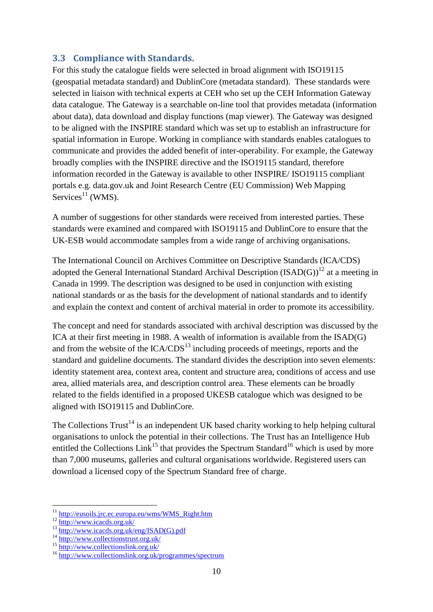### <span id="page-11-0"></span>**3.3 Compliance with Standards.**

For this study the catalogue fields were selected in broad alignment with ISO19115 (geospatial metadata standard) and DublinCore (metadata standard). These standards were selected in liaison with technical experts at CEH who set up the CEH Information Gateway data catalogue. The Gateway is a searchable on-line tool that provides metadata (information about data), data download and display functions (map viewer). The Gateway was designed to be aligned with the INSPIRE standard which was set up to establish an infrastructure for spatial information in Europe. Working in compliance with standards enables catalogues to communicate and provides the added benefit of inter-operability. For example, the Gateway broadly complies with the INSPIRE directive and the ISO19115 standard, therefore information recorded in the Gateway is available to other INSPIRE/ ISO19115 compliant portals e.g. data.gov.uk and Joint Research Centre (EU Commission) Web Mapping Services $^{11}$  (WMS).

A number of suggestions for other standards were received from interested parties. These standards were examined and compared with ISO19115 and DublinCore to ensure that the UK-ESB would accommodate samples from a wide range of archiving organisations.

The International Council on Archives Committee on Descriptive Standards (ICA/CDS) adopted the General International Standard Archival Description  $(ISAD(G))^{12}$  at a meeting in Canada in 1999. The description was designed to be used in conjunction with existing national standards or as the basis for the development of national standards and to identify and explain the context and content of archival material in order to promote its accessibility.

The concept and need for standards associated with archival description was discussed by the ICA at their first meeting in 1988. A wealth of information is available from the ISAD(G) and from the website of the  $ICA/CDS<sup>13</sup>$  including proceeds of meetings, reports and the standard and guideline documents. The standard divides the description into seven elements: identity statement area, context area, content and structure area, conditions of access and use area, allied materials area, and description control area. These elements can be broadly related to the fields identified in a proposed UKESB catalogue which was designed to be aligned with ISO19115 and DublinCore.

The Collections  $Trust^{14}$  is an independent UK based charity working to help helping cultural organisations to unlock the potential in their collections. The Trust has an Intelligence Hub entitled the Collections Link<sup>15</sup> that provides the Spectrum Standard<sup>16</sup> which is used by more than 7,000 museums, galleries and cultural organisations worldwide. Registered users can download a licensed copy of the Spectrum Standard free of charge.

1

<sup>&</sup>lt;sup>11</sup> [http://eusoils.jrc.ec.europa.eu/wms/WMS\\_Right.htm](http://eusoils.jrc.ec.europa.eu/wms/WMS_Right.htm)

<sup>12</sup> <http://www.icacds.org.uk/>

<sup>13</sup> [http://www.icacds.org.uk/eng/ISAD\(G\).pdf](http://www.icacds.org.uk/eng/ISAD(G).pdf)

<sup>14</sup> <http://www.collectionstrust.org.uk/>

<sup>15</sup> <http://www.collectionslink.org.uk/>

<sup>16</sup> <http://www.collectionslink.org.uk/programmes/spectrum>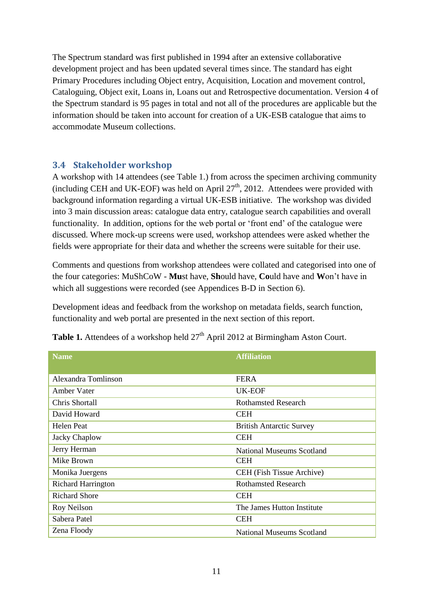The Spectrum standard was first published in 1994 after an extensive collaborative development project and has been updated several times since. The standard has eight Primary Procedures including Object entry, Acquisition, Location and movement control, Cataloguing, Object exit, Loans in, Loans out and Retrospective documentation. Version 4 of the Spectrum standard is 95 pages in total and not all of the procedures are applicable but the information should be taken into account for creation of a UK-ESB catalogue that aims to accommodate Museum collections.

#### <span id="page-12-0"></span>**3.4 Stakeholder workshop**

A workshop with 14 attendees (see Table 1.) from across the specimen archiving community (including CEH and UK-EOF) was held on April  $27<sup>th</sup>$ , 2012. Attendees were provided with background information regarding a virtual UK-ESB initiative. The workshop was divided into 3 main discussion areas: catalogue data entry, catalogue search capabilities and overall functionality. In addition, options for the web portal or 'front end' of the catalogue were discussed. Where mock-up screens were used, workshop attendees were asked whether the fields were appropriate for their data and whether the screens were suitable for their use.

Comments and questions from workshop attendees were collated and categorised into one of the four categories: MuShCoW - **Mu**st have, **Sh**ould have, **Co**uld have and **W**on't have in which all suggestions were recorded (see Appendices B-D in Section 6).

Development ideas and feedback from the workshop on metadata fields, search function, functionality and web portal are presented in the next section of this report.

| <b>Name</b>               | <b>Affiliation</b>               |
|---------------------------|----------------------------------|
|                           |                                  |
| Alexandra Tomlinson       | <b>FERA</b>                      |
| Amber Vater               | UK-EOF                           |
| Chris Shortall            | <b>Rothamsted Research</b>       |
| David Howard              | <b>CEH</b>                       |
| Helen Peat                | <b>British Antarctic Survey</b>  |
| Jacky Chaplow             | <b>CEH</b>                       |
| Jerry Herman              | <b>National Museums Scotland</b> |
| Mike Brown                | <b>CEH</b>                       |
| Monika Juergens           | CEH (Fish Tissue Archive)        |
| <b>Richard Harrington</b> | <b>Rothamsted Research</b>       |
| <b>Richard Shore</b>      | <b>CEH</b>                       |
| Roy Neilson               | The James Hutton Institute       |
| Sabera Patel              | <b>CEH</b>                       |
| Zena Floody               | <b>National Museums Scotland</b> |

**Table 1.** Attendees of a workshop held  $27<sup>th</sup>$  April 2012 at Birmingham Aston Court.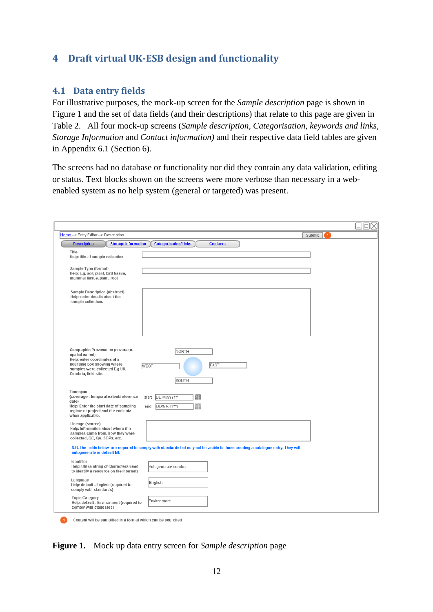# <span id="page-13-0"></span>**4 Draft virtual UK-ESB design and functionality**

### <span id="page-13-1"></span>**4.1 Data entry fields**

For illustrative purposes, the mock-up screen for the *Sample description* page is shown in Figure 1 and the set of data fields (and their descriptions) that relate to this page are given in Table 2. All four mock-up screens (*Sample description, Categorisation, keywords and links*, *Storage Information* and *Contact information)* and their respective data field tables are given in Appendix 6.1 (Section 6).

The screens had no database or functionality nor did they contain any data validation, editing or status. Text blocks shown on the screens were more verbose than necessary in a webenabled system as no help system (general or targeted) was present.

| Home -> Entry Editor -> Description                                                                                                                                         |                                                                                                                                   | Submit<br>$\blacktriangleleft$ |
|-----------------------------------------------------------------------------------------------------------------------------------------------------------------------------|-----------------------------------------------------------------------------------------------------------------------------------|--------------------------------|
| <b>Description</b><br><b>Storage Information</b>                                                                                                                            | <b>Categorisation/Links</b><br><b>Contacts</b>                                                                                    |                                |
| Title<br>Help: title of sample collection                                                                                                                                   |                                                                                                                                   |                                |
| Sample Type (format)<br>Help: E.g. soil, plant, bird tissue,<br>mammal tissue, plant, root                                                                                  |                                                                                                                                   |                                |
| Sample Description (abstract)<br>Help: enter details about the<br>sample collection.                                                                                        |                                                                                                                                   |                                |
|                                                                                                                                                                             |                                                                                                                                   |                                |
| Geographic Provenance (coverage-<br>spatial extent)<br>Help: enter coordinates of a<br>bounding box showing where<br>samples were collected E.g UK,<br>Cumbria, field site. | NORTH<br><b>EAST</b><br><b>WEST</b><br>SOUTH                                                                                      |                                |
| Timespan<br>(coverage - temporal extent/reference<br>date)<br>Help: Enter the start date of sampling<br>regime or project and the end data<br>when applicable.              | m<br>DD/MM/YYYY<br>start<br>m<br>DD/MM/YYYY<br>end                                                                                |                                |
| Lineage (source)<br>Help: Information about where the<br>samples came from, how they were<br>collected, QC, QA, SOPs, etc.                                                  |                                                                                                                                   |                                |
| autogenerate or default fill.                                                                                                                                               | N.B. The fields below are required to comply with standards but may not be visible to those creating a catalogue entry. They will |                                |
| Identifier<br>Help: URI (a string of characters used<br>to identify a resource on the Internet)                                                                             | Autogenerate number                                                                                                               |                                |
| Language<br>Help: default - English (required to<br>comply with standards)                                                                                                  | English                                                                                                                           |                                |
| <b>Topic Category</b><br>Help: default - Environment (required to<br>comply with standards)                                                                                 | Environment                                                                                                                       |                                |

**Figure 1.** Mock up data entry screen for *Sample description* page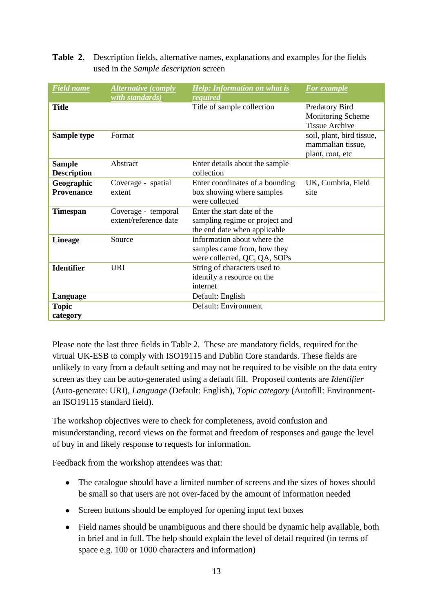#### **Table 2.** Description fields, alternative names, explanations and examples for the fields used in the *Sample description* screen

| <b>Field</b> name                   | <b>Alternative (comply</b><br>with standards) | <b>Help:</b> Information on what is<br>required                                               | <b>For example</b>                                                  |
|-------------------------------------|-----------------------------------------------|-----------------------------------------------------------------------------------------------|---------------------------------------------------------------------|
| <b>Title</b>                        |                                               | Title of sample collection                                                                    | Predatory Bird<br><b>Monitoring Scheme</b><br><b>Tissue Archive</b> |
| Sample type                         | Format                                        |                                                                                               | soil, plant, bird tissue,<br>mammalian tissue,<br>plant, root, etc  |
| <b>Sample</b><br><b>Description</b> | Abstract                                      | Enter details about the sample<br>collection                                                  |                                                                     |
| Geographic<br><b>Provenance</b>     | Coverage - spatial<br>extent                  | Enter coordinates of a bounding<br>box showing where samples<br>were collected                | UK, Cumbria, Field<br>site                                          |
| <b>Timespan</b>                     | Coverage - temporal<br>extent/reference date  | Enter the start date of the<br>sampling regime or project and<br>the end date when applicable |                                                                     |
| <b>Lineage</b>                      | Source                                        | Information about where the<br>samples came from, how they<br>were collected, QC, QA, SOPs    |                                                                     |
| <b>Identifier</b>                   | <b>URI</b>                                    | String of characters used to<br>identify a resource on the<br>internet                        |                                                                     |
| Language                            |                                               | Default: English                                                                              |                                                                     |
| <b>Topic</b><br>category            |                                               | Default: Environment                                                                          |                                                                     |

Please note the last three fields in Table 2. These are mandatory fields, required for the virtual UK-ESB to comply with ISO19115 and Dublin Core standards. These fields are unlikely to vary from a default setting and may not be required to be visible on the data entry screen as they can be auto-generated using a default fill. Proposed contents are *Identifier*  (Auto-generate: URI), *Language* (Default: English), *Topic category* (Autofill: Environmentan ISO19115 standard field).

The workshop objectives were to check for completeness, avoid confusion and misunderstanding, record views on the format and freedom of responses and gauge the level of buy in and likely response to requests for information.

Feedback from the workshop attendees was that:

- The catalogue should have a limited number of screens and the sizes of boxes should be small so that users are not over-faced by the amount of information needed
- Screen buttons should be employed for opening input text boxes
- Field names should be unambiguous and there should be dynamic help available, both in brief and in full. The help should explain the level of detail required (in terms of space e.g. 100 or 1000 characters and information)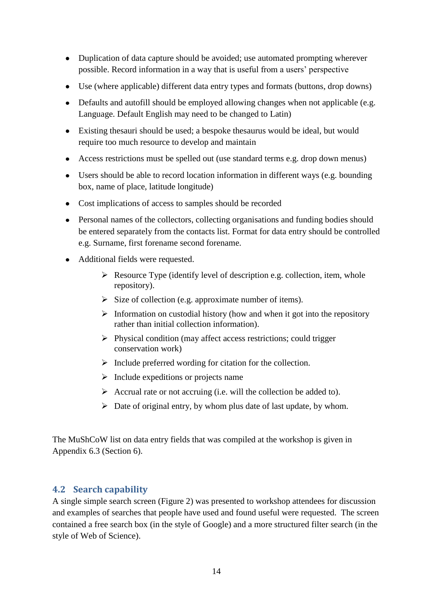- Duplication of data capture should be avoided; use automated prompting wherever possible. Record information in a way that is useful from a users' perspective
- Use (where applicable) different data entry types and formats (buttons, drop downs)
- Defaults and autofill should be employed allowing changes when not applicable (e.g. Language. Default English may need to be changed to Latin)
- Existing thesauri should be used; a bespoke thesaurus would be ideal, but would require too much resource to develop and maintain
- Access restrictions must be spelled out (use standard terms e.g. drop down menus)
- Users should be able to record location information in different ways (e.g. bounding box, name of place, latitude longitude)
- Cost implications of access to samples should be recorded
- Personal names of the collectors, collecting organisations and funding bodies should be entered separately from the contacts list. Format for data entry should be controlled e.g. Surname, first forename second forename.
- Additional fields were requested.
	- $\triangleright$  Resource Type (identify level of description e.g. collection, item, whole repository).
	- $\triangleright$  Size of collection (e.g. approximate number of items).
	- $\triangleright$  Information on custodial history (how and when it got into the repository rather than initial collection information).
	- $\triangleright$  Physical condition (may affect access restrictions; could trigger conservation work)
	- $\triangleright$  Include preferred wording for citation for the collection.
	- $\triangleright$  Include expeditions or projects name
	- $\triangleright$  Accrual rate or not accruing (i.e. will the collection be added to).
	- $\triangleright$  Date of original entry, by whom plus date of last update, by whom.

The MuShCoW list on data entry fields that was compiled at the workshop is given in Appendix 6.3 (Section 6).

### <span id="page-15-0"></span>**4.2 Search capability**

A single simple search screen (Figure 2) was presented to workshop attendees for discussion and examples of searches that people have used and found useful were requested. The screen contained a free search box (in the style of Google) and a more structured filter search (in the style of Web of Science).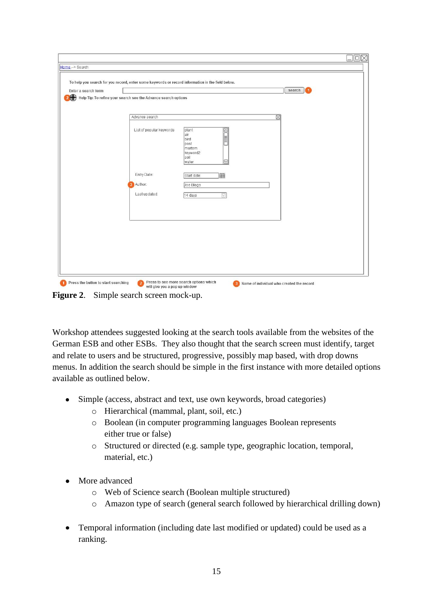| Enter a search term | Help Tip: To refine your search see the Advance search options | search                                                                                             |  |
|---------------------|----------------------------------------------------------------|----------------------------------------------------------------------------------------------------|--|
|                     |                                                                |                                                                                                    |  |
|                     | Advance search                                                 | ⊠                                                                                                  |  |
|                     | List of popular keywords                                       | plant<br>$\boxed{\text{min}}$<br>lair<br>bird<br>post<br>mortem<br>keyword2<br>soil<br> ⊡<br>water |  |
|                     | Entry Date:                                                    | m<br>Start date:                                                                                   |  |
|                     | 3 Author:                                                      | Joe Blogs                                                                                          |  |
|                     | Last updated:                                                  | 14 days<br>$\triangledown$                                                                         |  |
|                     |                                                                |                                                                                                    |  |
|                     |                                                                |                                                                                                    |  |
|                     |                                                                |                                                                                                    |  |
|                     |                                                                |                                                                                                    |  |

**Figure 2**. Simple search screen mock-up.

Workshop attendees suggested looking at the search tools available from the websites of the German ESB and other ESBs. They also thought that the search screen must identify, target and relate to users and be structured, progressive, possibly map based, with drop downs menus. In addition the search should be simple in the first instance with more detailed options available as outlined below.

- Simple (access, abstract and text, use own keywords, broad categories)
	- o Hierarchical (mammal, plant, soil, etc.)
	- o Boolean (in computer programming languages Boolean represents either true or false)
	- o Structured or directed (e.g. sample type, geographic location, temporal, material, etc.)
- More advanced
	- o Web of Science search (Boolean multiple structured)
	- o Amazon type of search (general search followed by hierarchical drilling down)
- Temporal information (including date last modified or updated) could be used as a ranking.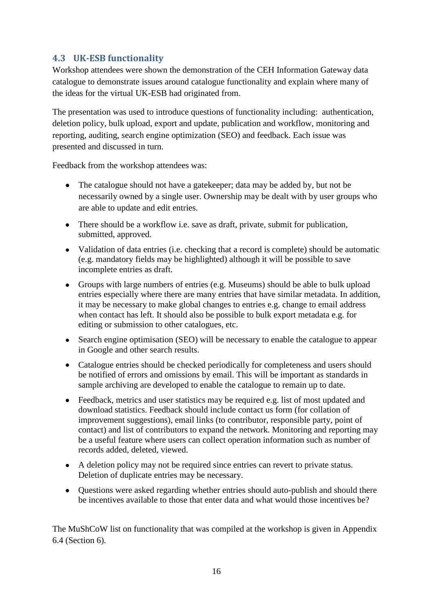## <span id="page-17-0"></span>**4.3 UK-ESB functionality**

Workshop attendees were shown the demonstration of the CEH Information Gateway data catalogue to demonstrate issues around catalogue functionality and explain where many of the ideas for the virtual UK-ESB had originated from.

The presentation was used to introduce questions of functionality including: authentication, deletion policy, bulk upload, export and update, publication and workflow, monitoring and reporting, auditing, search engine optimization (SEO) and feedback. Each issue was presented and discussed in turn.

Feedback from the workshop attendees was:

- The catalogue should not have a gate keeper; data may be added by, but not be necessarily owned by a single user. Ownership may be dealt with by user groups who are able to update and edit entries.
- There should be a workflow i.e. save as draft, private, submit for publication, submitted, approved.
- Validation of data entries (i.e. checking that a record is complete) should be automatic (e.g. mandatory fields may be highlighted) although it will be possible to save incomplete entries as draft.
- Groups with large numbers of entries (e.g. Museums) should be able to bulk upload entries especially where there are many entries that have similar metadata. In addition, it may be necessary to make global changes to entries e.g. change to email address when contact has left. It should also be possible to bulk export metadata e.g. for editing or submission to other catalogues, etc.
- Search engine optimisation (SEO) will be necessary to enable the catalogue to appear in Google and other search results.
- Catalogue entries should be checked periodically for completeness and users should be notified of errors and omissions by email. This will be important as standards in sample archiving are developed to enable the catalogue to remain up to date.
- Feedback, metrics and user statistics may be required e.g. list of most updated and download statistics. Feedback should include contact us form (for collation of improvement suggestions), email links (to contributor, responsible party, point of contact) and list of contributors to expand the network. Monitoring and reporting may be a useful feature where users can collect operation information such as number of records added, deleted, viewed.
- A deletion policy may not be required since entries can revert to private status. Deletion of duplicate entries may be necessary.
- Questions were asked regarding whether entries should auto-publish and should there be incentives available to those that enter data and what would those incentives be?

The MuShCoW list on functionality that was compiled at the workshop is given in Appendix 6.4 (Section 6).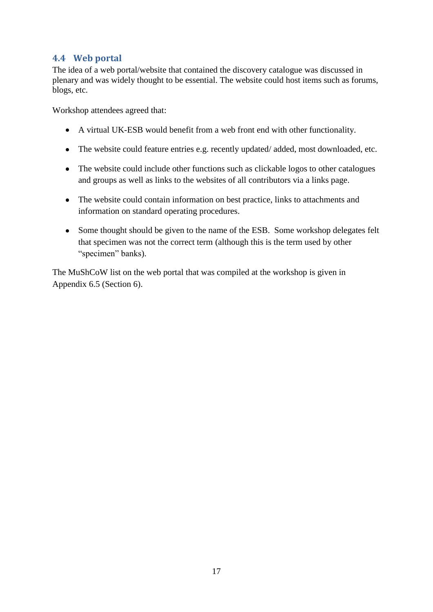### <span id="page-18-0"></span>**4.4 Web portal**

The idea of a web portal/website that contained the discovery catalogue was discussed in plenary and was widely thought to be essential. The website could host items such as forums, blogs, etc.

Workshop attendees agreed that:

- A virtual UK-ESB would benefit from a web front end with other functionality.
- The website could feature entries e.g. recently updated/added, most downloaded, etc.
- The website could include other functions such as clickable logos to other catalogues and groups as well as links to the websites of all contributors via a links page.
- The website could contain information on best practice, links to attachments and information on standard operating procedures.
- Some thought should be given to the name of the ESB. Some workshop delegates felt that specimen was not the correct term (although this is the term used by other "specimen" banks).

The MuShCoW list on the web portal that was compiled at the workshop is given in Appendix 6.5 (Section 6).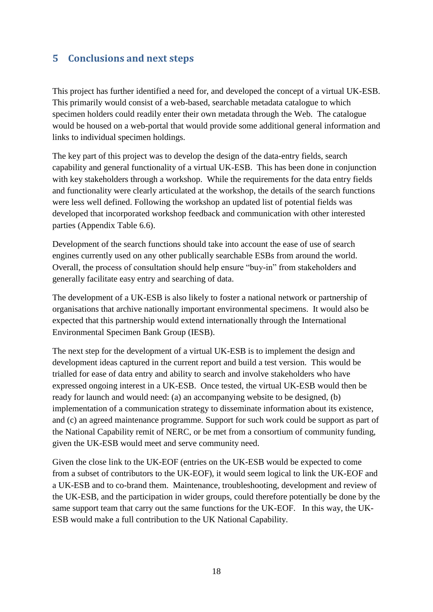# <span id="page-19-0"></span>**5 Conclusions and next steps**

This project has further identified a need for, and developed the concept of a virtual UK-ESB. This primarily would consist of a web-based, searchable metadata catalogue to which specimen holders could readily enter their own metadata through the Web. The catalogue would be housed on a web-portal that would provide some additional general information and links to individual specimen holdings.

The key part of this project was to develop the design of the data-entry fields, search capability and general functionality of a virtual UK-ESB. This has been done in conjunction with key stakeholders through a workshop. While the requirements for the data entry fields and functionality were clearly articulated at the workshop, the details of the search functions were less well defined. Following the workshop an updated list of potential fields was developed that incorporated workshop feedback and communication with other interested parties (Appendix Table 6.6).

Development of the search functions should take into account the ease of use of search engines currently used on any other publically searchable ESBs from around the world. Overall, the process of consultation should help ensure "buy-in" from stakeholders and generally facilitate easy entry and searching of data.

The development of a UK-ESB is also likely to foster a national network or partnership of organisations that archive nationally important environmental specimens. It would also be expected that this partnership would extend internationally through the International Environmental Specimen Bank Group (IESB).

The next step for the development of a virtual UK-ESB is to implement the design and development ideas captured in the current report and build a test version. This would be trialled for ease of data entry and ability to search and involve stakeholders who have expressed ongoing interest in a UK-ESB. Once tested, the virtual UK-ESB would then be ready for launch and would need: (a) an accompanying website to be designed, (b) implementation of a communication strategy to disseminate information about its existence, and (c) an agreed maintenance programme. Support for such work could be support as part of the National Capability remit of NERC, or be met from a consortium of community funding, given the UK-ESB would meet and serve community need.

Given the close link to the UK-EOF (entries on the UK-ESB would be expected to come from a subset of contributors to the UK-EOF), it would seem logical to link the UK-EOF and a UK-ESB and to co-brand them. Maintenance, troubleshooting, development and review of the UK-ESB, and the participation in wider groups, could therefore potentially be done by the same support team that carry out the same functions for the UK-EOF. In this way, the UK-ESB would make a full contribution to the UK National Capability.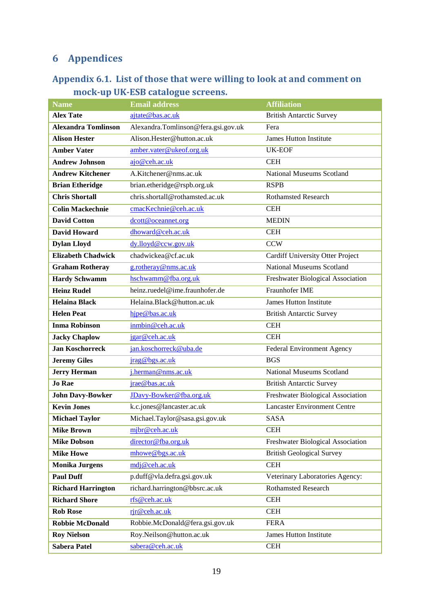# <span id="page-20-0"></span>**6 Appendices**

# <span id="page-20-1"></span>**Appendix 6.1. List of those that were willing to look at and comment on mock-up UK-ESB catalogue screens.**

| <b>Name</b>                | <b>Email address</b>                | <b>Affiliation</b>                  |
|----------------------------|-------------------------------------|-------------------------------------|
| <b>Alex Tate</b>           | ajtate@bas.ac.uk                    | <b>British Antarctic Survey</b>     |
| <b>Alexandra Tomlinson</b> | Alexandra.Tomlinson@fera.gsi.gov.uk | Fera                                |
| <b>Alison Hester</b>       | Alison.Hester@hutton.ac.uk          | <b>James Hutton Institute</b>       |
| <b>Amber Vater</b>         | amber.vater@ukeof.org.uk            | <b>UK-EOF</b>                       |
| <b>Andrew Johnson</b>      | ajo@ceh.ac.uk                       | <b>CEH</b>                          |
| <b>Andrew Kitchener</b>    | A.Kitchener@nms.ac.uk               | <b>National Museums Scotland</b>    |
| <b>Brian Etheridge</b>     | brian.etheridge@rspb.org.uk         | <b>RSPB</b>                         |
| <b>Chris Shortall</b>      | chris.shortall@rothamsted.ac.uk     | <b>Rothamsted Research</b>          |
| <b>Colin Mackechnie</b>    | cmacKechnie@ceh.ac.uk               | <b>CEH</b>                          |
| <b>David Cotton</b>        | dcott@oceannet.org                  | <b>MEDIN</b>                        |
| <b>David Howard</b>        | dhoward@ceh.ac.uk                   | <b>CEH</b>                          |
| <b>Dylan Lloyd</b>         | dy.lloyd@ccw.gov.uk                 | <b>CCW</b>                          |
| <b>Elizabeth Chadwick</b>  | chadwickea@cf.ac.uk                 | Cardiff University Otter Project    |
| <b>Graham Rotheray</b>     | g.rotheray@nms.ac.uk                | <b>National Museums Scotland</b>    |
| <b>Hardy Schwamm</b>       | hschwamm@fba.org.uk                 | Freshwater Biological Association   |
| <b>Heinz Rudel</b>         | heinz.ruedel@ime.fraunhofer.de      | Fraunhofer IME                      |
| <b>Helaina Black</b>       | Helaina.Black@hutton.ac.uk          | <b>James Hutton Institute</b>       |
| <b>Helen Peat</b>          | hjpe@bas.ac.uk                      | <b>British Antarctic Survey</b>     |
| <b>Inma Robinson</b>       | inmbin@ceh.ac.uk                    | <b>CEH</b>                          |
| <b>Jacky Chaplow</b>       | jgar@ceh.ac.uk                      | <b>CEH</b>                          |
| <b>Jan Koschorreck</b>     | jan.koschorreck@uba.de              | <b>Federal Environment Agency</b>   |
| <b>Jeremy Giles</b>        | jrag@bgs.ac.uk                      | <b>BGS</b>                          |
| <b>Jerry Herman</b>        | j.herman@nms.ac.uk                  | <b>National Museums Scotland</b>    |
| <b>Jo Rae</b>              | jrae@bas.ac.uk                      | <b>British Antarctic Survey</b>     |
| <b>John Davy-Bowker</b>    | JDavy-Bowker@fba.org.uk             | Freshwater Biological Association   |
| <b>Kevin Jones</b>         | k.c.jones@lancaster.ac.uk           | <b>Lancaster Environment Centre</b> |
| <b>Michael Taylor</b>      | Michael.Taylor@sasa.gsi.gov.uk      | <b>SASA</b>                         |
| <b>Mike Brown</b>          | mjbr@ceh.ac.uk                      | <b>CEH</b>                          |
| <b>Mike Dobson</b>         | director@fba.org.uk                 | Freshwater Biological Association   |
| <b>Mike Howe</b>           | mhowe@bgs.ac.uk                     | <b>British Geological Survey</b>    |
| <b>Monika Jurgens</b>      | mdj@ceh.ac.uk                       | <b>CEH</b>                          |
| <b>Paul Duff</b>           | p.duff@vla.defra.gsi.gov.uk         | Veterinary Laboratories Agency:     |
| <b>Richard Harrington</b>  | richard.harrington@bbsrc.ac.uk      | <b>Rothamsted Research</b>          |
| <b>Richard Shore</b>       | rfs@ceh.ac.uk                       | <b>CEH</b>                          |
| <b>Rob Rose</b>            | rjr@ceh.ac.uk                       | <b>CEH</b>                          |
| <b>Robbie McDonald</b>     | Robbie.McDonald@fera.gsi.gov.uk     | <b>FERA</b>                         |
| <b>Roy Nielson</b>         | Roy.Neilson@hutton.ac.uk            | James Hutton Institute              |
| <b>Sabera Patel</b>        | sabera@ceh.ac.uk                    | <b>CEH</b>                          |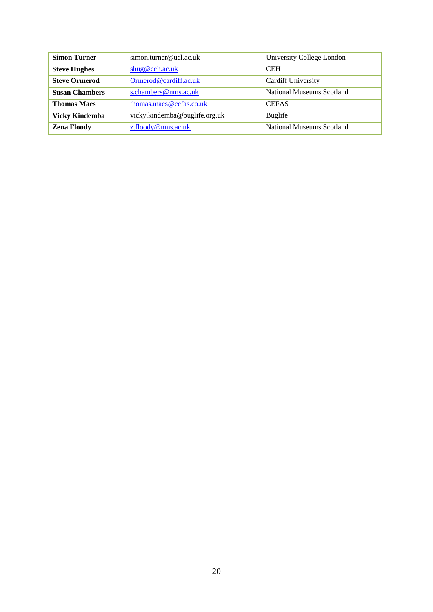| <b>Simon Turner</b>   | simon.turner@ucl.ac.uk        | University College London |
|-----------------------|-------------------------------|---------------------------|
| <b>Steve Hughes</b>   | shug@ceh.ac.uk                | <b>CEH</b>                |
| <b>Steve Ormerod</b>  | Ormerod@cardiff.ac.uk         | <b>Cardiff University</b> |
| <b>Susan Chambers</b> | s.chambers@nms.ac.uk          | National Museums Scotland |
| <b>Thomas Maes</b>    | thomas.maes@cefas.co.uk       | <b>CEFAS</b>              |
| <b>Vicky Kindemba</b> | vicky.kindemba@buglife.org.uk | Buglife                   |
| <b>Zena Floody</b>    | $z$ .floody@nms.ac.uk         | National Museums Scotland |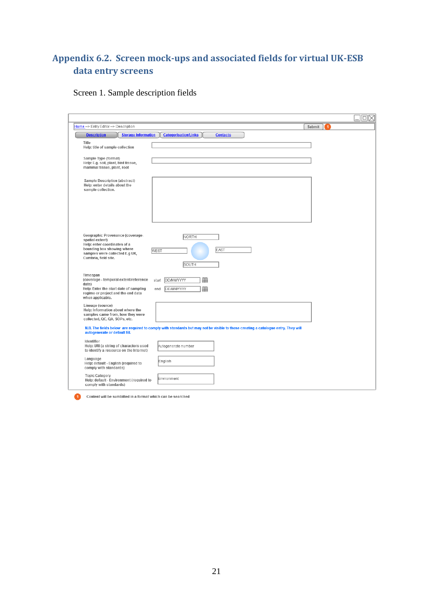# <span id="page-22-0"></span>**Appendix 6.2. Screen mock-ups and associated fields for virtual UK-ESB data entry screens**

# Screen 1. Sample description fields

|                                                                                                                                                                                                                      | $\square\times$          |
|----------------------------------------------------------------------------------------------------------------------------------------------------------------------------------------------------------------------|--------------------------|
| Home -> Entry Editor -> Description                                                                                                                                                                                  | Submit<br>$\overline{1}$ |
| <b>Storage Information</b><br><b>Categorisation/Links</b><br><b>Contacts</b><br><b>Description</b>                                                                                                                   |                          |
| Title<br>Help: title of sample collection                                                                                                                                                                            |                          |
| Sample Type (format)<br>Help: E.g. soil, plant, bird tissue,<br>mammal tissue, plant, root                                                                                                                           |                          |
| Sample Description (abstract)<br>Help: enter details about the<br>sample collection.                                                                                                                                 |                          |
| Geographic Provenance (coverage-<br>NORTH<br>spatial extent)<br>Help: enter coordinates of a<br>bounding box showing where<br>EAST<br>WEST<br>samples were collected E.g UK,<br>Cumbria, field site.<br>SOUTH        |                          |
| Timespan<br>(coverage - temporal extent/reference<br>▦<br>DD/MM/YYYY<br>start<br>date)<br>Help: Enter the start date of sampling<br>DD/MM/YYYY<br>⊞<br>end<br>regime or project and the end data<br>when applicable. |                          |
| Lineage (source)<br>Help: Information about where the<br>samples came from, how they were<br>collected, QC, QA, SOPs, etc.                                                                                           |                          |
| N.B. The fields below are required to comply with standards but may not be visible to those creating a catalogue entry. They will<br>autogenerate or default fill.                                                   |                          |
| Identifier<br>Help: URI (a string of characters used<br>Autogenerate number<br>to identify a resource on the Internet)                                                                                               |                          |
| Language<br>English<br>Help: default - English (required to<br>comply with standards)                                                                                                                                |                          |
| <b>Topic Category</b><br>Environment<br>Help: default - Environment (required to<br>comply with standards)                                                                                                           |                          |

Content will be sumbitted in a format which can be searched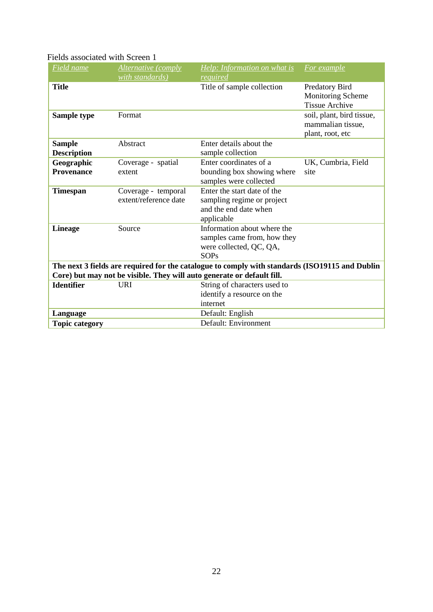### Fields associated with Screen 1

| Field name            | Alternative (comply   | Help: Information on what is                                                                   | For example               |
|-----------------------|-----------------------|------------------------------------------------------------------------------------------------|---------------------------|
|                       | with standards)       | required                                                                                       |                           |
| <b>Title</b>          |                       | Title of sample collection                                                                     | Predatory Bird            |
|                       |                       |                                                                                                | Monitoring Scheme         |
|                       |                       |                                                                                                | <b>Tissue Archive</b>     |
| Sample type           | Format                |                                                                                                | soil, plant, bird tissue, |
|                       |                       |                                                                                                | mammalian tissue,         |
|                       |                       |                                                                                                | plant, root, etc          |
| <b>Sample</b>         | Abstract              | Enter details about the                                                                        |                           |
| <b>Description</b>    |                       | sample collection                                                                              |                           |
| Geographic            | Coverage - spatial    | Enter coordinates of a                                                                         | UK, Cumbria, Field        |
| <b>Provenance</b>     | extent                | bounding box showing where                                                                     | site                      |
|                       |                       | samples were collected                                                                         |                           |
| <b>Timespan</b>       | Coverage - temporal   | Enter the start date of the                                                                    |                           |
|                       | extent/reference date | sampling regime or project                                                                     |                           |
|                       |                       | and the end date when                                                                          |                           |
|                       |                       | applicable                                                                                     |                           |
| <b>Lineage</b>        | Source                | Information about where the                                                                    |                           |
|                       |                       | samples came from, how they                                                                    |                           |
|                       |                       | were collected, QC, QA,                                                                        |                           |
|                       |                       | <b>SOPs</b>                                                                                    |                           |
|                       |                       | The next 3 fields are required for the catalogue to comply with standards (ISO19115 and Dublin |                           |
|                       |                       | Core) but may not be visible. They will auto generate or default fill.                         |                           |
| <b>Identifier</b>     | <b>URI</b>            | String of characters used to                                                                   |                           |
|                       |                       | identify a resource on the                                                                     |                           |
|                       |                       | internet                                                                                       |                           |
| Language              |                       | Default: English                                                                               |                           |
| <b>Topic category</b> |                       | Default: Environment                                                                           |                           |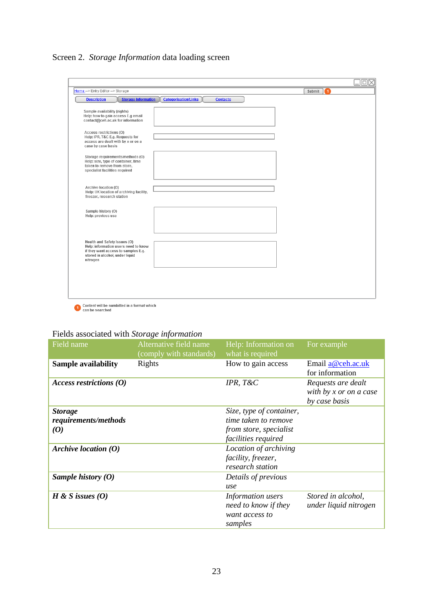Screen 2. *Storage Information* data loading screen

| <b>Storage Information</b><br><b>Description</b>                                                                                                           | <b>Categorisation/Links</b><br><b>Contacts</b> |  |
|------------------------------------------------------------------------------------------------------------------------------------------------------------|------------------------------------------------|--|
|                                                                                                                                                            |                                                |  |
| Sample availability (rights)<br>Help: how to gain access E.g email<br>contact@ceh.ac.uk for information                                                    |                                                |  |
| Access restrictions (O)<br>Help: IPR, T&C E.g. Requests for<br>access are dealt with by x or on a<br>case by case basis                                    |                                                |  |
| Storage requirements/methods (O)<br>Help: size, type of container, time<br>taken to remove from store,<br>specialist facilities required                   |                                                |  |
| Archive location (O)<br>Help: UK location of archiving facility,<br>freezer, research station                                                              |                                                |  |
| Sample history (O)<br>Help: previous use                                                                                                                   |                                                |  |
| Health and Safety Issues (O)<br>Help: information users need to know<br>if they want access to samples E.g.<br>stored in alcohol, under liquid<br>nitrogen |                                                |  |
|                                                                                                                                                            |                                                |  |

# Fields associated with *Storage information*

| Field name                                                 | Alternative field name<br>(comply with standards) | Help: Information on<br>what is required                                                          | For example                                                     |
|------------------------------------------------------------|---------------------------------------------------|---------------------------------------------------------------------------------------------------|-----------------------------------------------------------------|
| <b>Sample availability</b>                                 | Rights                                            | How to gain access                                                                                | Email a@ceh.ac.uk<br>for information                            |
| Access restrictions $(0)$                                  |                                                   | IPR, T&C                                                                                          | Requests are dealt<br>with by $x$ or on a case<br>by case basis |
| <b>Storage</b><br>requirements/methods<br>$\boldsymbol{0}$ |                                                   | Size, type of container,<br>time taken to remove<br>from store, specialist<br>facilities required |                                                                 |
| Archive location $(0)$                                     |                                                   | Location of archiving<br>facility, freezer,<br>research station                                   |                                                                 |
| Sample history $(0)$                                       |                                                   | Details of previous<br>use                                                                        |                                                                 |
| H & S issues $(0)$                                         |                                                   | Information users<br>need to know if they<br>want access to<br>samples                            | Stored in alcohol,<br>under liquid nitrogen                     |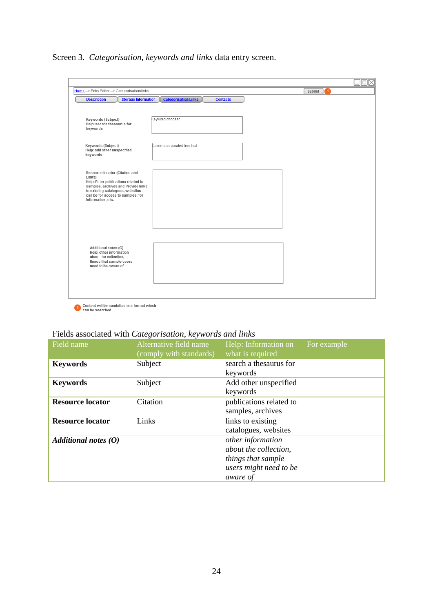Screen 3. *Categorisation, keywords and links* data entry screen.

| Home -> Entry Editor -> Categorisation/links                                                                                                                                                                           |                                                | Ω<br>Submit |
|------------------------------------------------------------------------------------------------------------------------------------------------------------------------------------------------------------------------|------------------------------------------------|-------------|
| <b>Storage Information</b><br><b>Description</b>                                                                                                                                                                       | <b>Categorisation/Links</b><br><b>Contacts</b> |             |
| Keywords (Subject)<br>Help: search thesaurus for<br>keywords                                                                                                                                                           | Keyword chooser                                |             |
| Keywords (Subject)<br>Help: add other unspecified<br>keywords                                                                                                                                                          | Comma separated free text                      |             |
| Resource locator (Citation and<br>Links)<br>Help: Enter publications related to<br>samples, archives and Provide links<br>to existing catalogues, websites -<br>can be for access to samples, for<br>information, etc. |                                                |             |
| Additional notes (O)<br>Help: other information<br>about the collection,<br>things that sample users<br>need to be aware of                                                                                            |                                                |             |
|                                                                                                                                                                                                                        |                                                |             |

Content will be sumbitted in a format which<br>can be searched

# Fields associated with *Categorisation, keywords and links*

| Field name              | Alternative field name<br>(comply with standards) | Help: Information on<br>what is required                                                               | For example |
|-------------------------|---------------------------------------------------|--------------------------------------------------------------------------------------------------------|-------------|
| <b>Keywords</b>         | Subject                                           | search a thesaurus for<br>keywords                                                                     |             |
| <b>Keywords</b>         | Subject                                           | Add other unspecified<br>keywords                                                                      |             |
| <b>Resource locator</b> | Citation                                          | publications related to<br>samples, archives                                                           |             |
| <b>Resource locator</b> | Links                                             | links to existing<br>catalogues, websites                                                              |             |
| Additional notes $(0)$  |                                                   | other information<br>about the collection,<br>things that sample<br>users might need to be<br>aware of |             |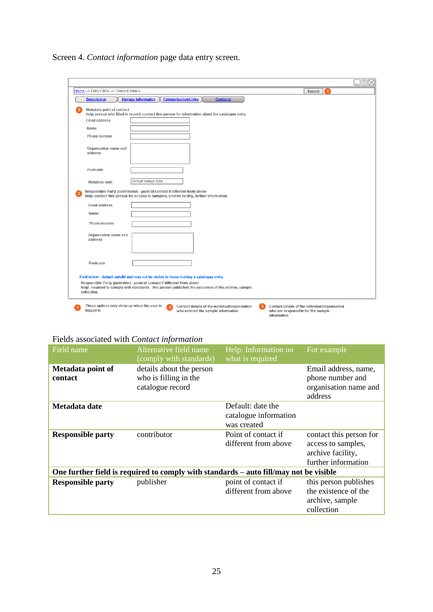Screen 4. *Contact information* page data entry screen.

| Home -> Entry Editor -> Contact details |                                                                            |                                                                                                      | Submit<br>$\blacktriangleleft$ |  |
|-----------------------------------------|----------------------------------------------------------------------------|------------------------------------------------------------------------------------------------------|--------------------------------|--|
| <b>Description</b>                      | <b>Storage Information</b>                                                 | <b>Categorisation/Links</b><br><b>Contacts</b>                                                       |                                |  |
| Metadata point of contact               |                                                                            |                                                                                                      |                                |  |
|                                         |                                                                            | Help: person who filled in record; contact this person for information about the catalogue entry     |                                |  |
| <b>Email address</b>                    |                                                                            |                                                                                                      |                                |  |
| Name                                    |                                                                            |                                                                                                      |                                |  |
| Phone number                            |                                                                            |                                                                                                      |                                |  |
| Organisation name and<br>address        |                                                                            |                                                                                                      |                                |  |
|                                         |                                                                            |                                                                                                      |                                |  |
| Postcode                                |                                                                            |                                                                                                      |                                |  |
| Metadata date                           | Default todays date                                                        |                                                                                                      |                                |  |
|                                         | Responsible Party (contributor) - point of contact if different from above | Help: contact this person for access to samples, archive facility, further information               |                                |  |
| <b>Email address</b>                    |                                                                            |                                                                                                      |                                |  |
| Name                                    |                                                                            |                                                                                                      |                                |  |
| Phone number                            |                                                                            |                                                                                                      |                                |  |
| Organisation name and<br>address        |                                                                            |                                                                                                      |                                |  |
|                                         |                                                                            |                                                                                                      |                                |  |
| Postcode                                |                                                                            |                                                                                                      |                                |  |
|                                         | Responsible Party (publisher) - point of contact if different from above   | Field below - default autofill and may not be visible to those making a catalogue entry              |                                |  |
| collection.                             |                                                                            | Help: required to comply with standards - this person publishes the existence of the archive, sample |                                |  |

### Fields associated with *Contact information*

| Field name                                                                            | Alternative field name<br>(comply with standards)                     | Help: Information on<br>what is required                  | For example                                                                               |
|---------------------------------------------------------------------------------------|-----------------------------------------------------------------------|-----------------------------------------------------------|-------------------------------------------------------------------------------------------|
| Metadata point of<br>contact                                                          | details about the person<br>who is filling in the<br>catalogue record |                                                           | Email address, name,<br>phone number and<br>organisation name and<br>address              |
| Metadata date                                                                         |                                                                       | Default: date the<br>catalogue information<br>was created |                                                                                           |
| <b>Responsible party</b>                                                              | contributor                                                           | Point of contact if<br>different from above               | contact this person for<br>access to samples,<br>archive facility,<br>further information |
| One further field is required to comply with standards – auto fill/may not be visible |                                                                       |                                                           |                                                                                           |
| <b>Responsible party</b>                                                              | publisher                                                             | point of contact if<br>different from above               | this person publishes<br>the existence of the<br>archive, sample<br>collection            |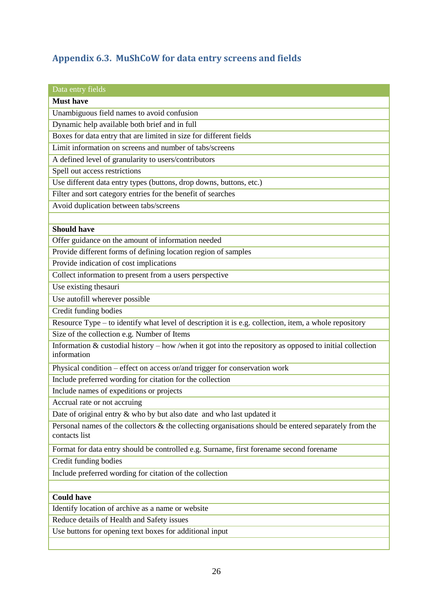# <span id="page-27-0"></span>**Appendix 6.3. MuShCoW for data entry screens and fields**

| Data entry fields                                                                                                        |
|--------------------------------------------------------------------------------------------------------------------------|
| <b>Must have</b>                                                                                                         |
| Unambiguous field names to avoid confusion                                                                               |
| Dynamic help available both brief and in full                                                                            |
| Boxes for data entry that are limited in size for different fields                                                       |
| Limit information on screens and number of tabs/screens                                                                  |
| A defined level of granularity to users/contributors                                                                     |
| Spell out access restrictions                                                                                            |
| Use different data entry types (buttons, drop downs, buttons, etc.)                                                      |
| Filter and sort category entries for the benefit of searches                                                             |
| Avoid duplication between tabs/screens                                                                                   |
|                                                                                                                          |
| <b>Should have</b>                                                                                                       |
| Offer guidance on the amount of information needed                                                                       |
| Provide different forms of defining location region of samples                                                           |
| Provide indication of cost implications                                                                                  |
| Collect information to present from a users perspective                                                                  |
| Use existing thesauri                                                                                                    |
| Use autofill wherever possible                                                                                           |
| Credit funding bodies                                                                                                    |
| Resource Type – to identify what level of description it is e.g. collection, item, a whole repository                    |
| Size of the collection e.g. Number of Items                                                                              |
| Information $&$ custodial history – how /when it got into the repository as opposed to initial collection<br>information |
| Physical condition – effect on access or/and trigger for conservation work                                               |
| Include preferred wording for citation for the collection                                                                |
| Include names of expeditions or projects                                                                                 |
| Accrual rate or not accruing                                                                                             |
| Date of original entry & who by but also date and who last updated it                                                    |
| Personal names of the collectors & the collecting organisations should be entered separately from the<br>contacts list   |
| Format for data entry should be controlled e.g. Surname, first forename second forename                                  |
| Credit funding bodies                                                                                                    |
| Include preferred wording for citation of the collection                                                                 |
|                                                                                                                          |
| <b>Could have</b>                                                                                                        |
| Identify location of archive as a name or website                                                                        |
| Reduce details of Health and Safety issues                                                                               |
| Use buttons for opening text boxes for additional input                                                                  |
|                                                                                                                          |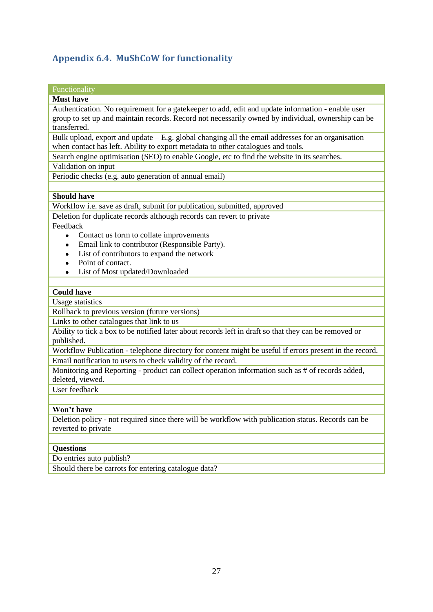# <span id="page-28-0"></span>**Appendix 6.4. MuShCoW for functionality**

## Functionality

#### **Must have**

Authentication. No requirement for a gatekeeper to add, edit and update information - enable user group to set up and maintain records. Record not necessarily owned by individual, ownership can be transferred.

Bulk upload, export and update – E.g. global changing all the email addresses for an organisation when contact has left. Ability to export metadata to other catalogues and tools.

Search engine optimisation (SEO) to enable Google, etc to find the website in its searches.

Validation on input

Periodic checks (e.g. auto generation of annual email)

#### **Should have**

Workflow i.e. save as draft, submit for publication, submitted, approved

Deletion for duplicate records although records can revert to private

Feedback

- Contact us form to collate improvements  $\bullet$
- Email link to contributor (Responsible Party).
- List of contributors to expand the network
- Point of contact.
- List of Most updated/Downloaded

#### **Could have**

Usage statistics

Rollback to previous version (future versions)

Links to other catalogues that link to us

Ability to tick a box to be notified later about records left in draft so that they can be removed or published.

Workflow Publication - telephone directory for content might be useful if errors present in the record. Email notification to users to check validity of the record.

Monitoring and Reporting - product can collect operation information such as # of records added, deleted, viewed.

User feedback

#### **Won't have**

Deletion policy - not required since there will be workflow with publication status. Records can be reverted to private

#### **Questions**

Do entries auto publish?

Should there be carrots for entering catalogue data?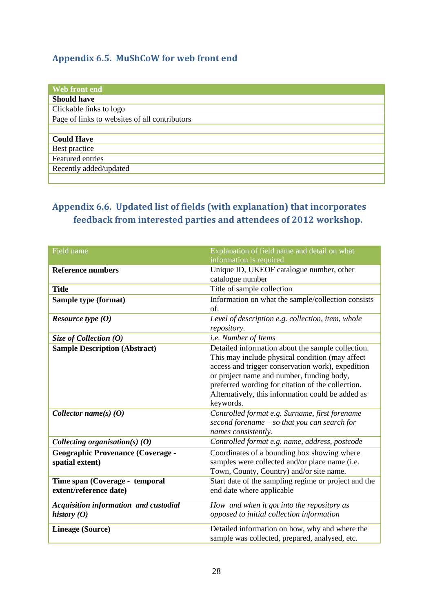## <span id="page-29-0"></span>**Appendix 6.5. MuShCoW for web front end**

| Web front end                                 |
|-----------------------------------------------|
| <b>Should have</b>                            |
| Clickable links to logo                       |
| Page of links to websites of all contributors |
|                                               |
| <b>Could Have</b>                             |
| Best practice                                 |
| <b>Featured</b> entries                       |
| Recently added/updated                        |
|                                               |

# <span id="page-29-1"></span>**Appendix 6.6. Updated list of fields (with explanation) that incorporates feedback from interested parties and attendees of 2012 workshop.**

| Field name                                   | Explanation of field name and detail on what         |
|----------------------------------------------|------------------------------------------------------|
|                                              | information is required                              |
| <b>Reference numbers</b>                     | Unique ID, UKEOF catalogue number, other             |
|                                              | catalogue number                                     |
| <b>Title</b>                                 | Title of sample collection                           |
| Sample type (format)                         | Information on what the sample/collection consists   |
|                                              | of.                                                  |
| <i>Resource type</i> $(0)$                   | Level of description e.g. collection, item, whole    |
|                                              | repository.                                          |
| Size of Collection $(0)$                     | i.e. Number of Items                                 |
| <b>Sample Description (Abstract)</b>         | Detailed information about the sample collection.    |
|                                              | This may include physical condition (may affect      |
|                                              | access and trigger conservation work), expedition    |
|                                              | or project name and number, funding body,            |
|                                              | preferred wording for citation of the collection.    |
|                                              | Alternatively, this information could be added as    |
|                                              | keywords.                                            |
| Collector name(s) $(0)$                      | Controlled format e.g. Surname, first forename       |
|                                              | second forename - so that you can search for         |
|                                              | names consistently.                                  |
| Collecting organisation(s) $(0)$             | Controlled format e.g. name, address, postcode       |
| <b>Geographic Provenance (Coverage -</b>     | Coordinates of a bounding box showing where          |
| spatial extent)                              | samples were collected and/or place name (i.e.       |
|                                              | Town, County, Country) and/or site name.             |
| Time span (Coverage - temporal               | Start date of the sampling regime or project and the |
| extent/reference date)                       | end date where applicable                            |
| <b>Acquisition information and custodial</b> | How and when it got into the repository as           |
| history $(0)$                                | opposed to initial collection information            |
| <b>Lineage (Source)</b>                      | Detailed information on how, why and where the       |
|                                              | sample was collected, prepared, analysed, etc.       |